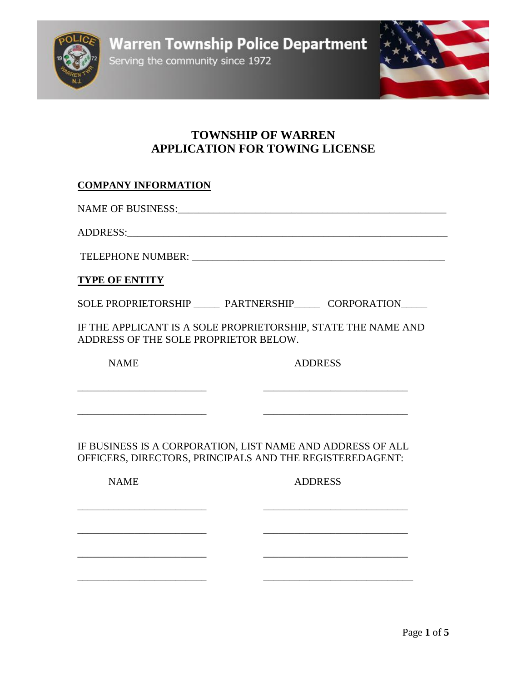Serving the community since 1972



# **TOWNSHIP OF WARREN APPLICATION FOR TOWING LICENSE**

## **COMPANY INFORMATION**

NAME OF BUSINESS:\_\_\_\_\_\_\_\_\_\_\_\_\_\_\_\_\_\_\_\_\_\_\_\_\_\_\_\_\_\_\_\_\_\_\_\_\_\_\_\_\_\_\_\_\_\_\_\_\_\_\_\_

ADDRESS:

TELEPHONE NUMBER:

### **TYPE OF ENTITY**

SOLE PROPRIETORSHIP PARTNERSHIP CORPORATION

IF THE APPLICANT IS A SOLE PROPRIETORSHIP, STATE THE NAME AND ADDRESS OF THE SOLE PROPRIETOR BELOW.

NAME ADDRESS

IF BUSINESS IS A CORPORATION, LIST NAME AND ADDRESS OF ALL OFFICERS, DIRECTORS, PRINCIPALS AND THE REGISTEREDAGENT:

\_\_\_\_\_\_\_\_\_\_\_\_\_\_\_\_\_\_\_\_\_\_\_\_\_ \_\_\_\_\_\_\_\_\_\_\_\_\_\_\_\_\_\_\_\_\_\_\_\_\_\_\_\_

\_\_\_\_\_\_\_\_\_\_\_\_\_\_\_\_\_\_\_\_\_\_\_\_\_ \_\_\_\_\_\_\_\_\_\_\_\_\_\_\_\_\_\_\_\_\_\_\_\_\_\_\_\_

\_\_\_\_\_\_\_\_\_\_\_\_\_\_\_\_\_\_\_\_\_\_\_\_\_ \_\_\_\_\_\_\_\_\_\_\_\_\_\_\_\_\_\_\_\_\_\_\_\_\_\_\_\_

\_\_\_\_\_\_\_\_\_\_\_\_\_\_\_\_\_\_\_\_\_\_\_\_\_ \_\_\_\_\_\_\_\_\_\_\_\_\_\_\_\_\_\_\_\_\_\_\_\_\_\_\_\_\_

\_\_\_\_\_\_\_\_\_\_\_\_\_\_\_\_\_\_\_\_\_\_\_\_\_ \_\_\_\_\_\_\_\_\_\_\_\_\_\_\_\_\_\_\_\_\_\_\_\_\_\_\_\_

\_\_\_\_\_\_\_\_\_\_\_\_\_\_\_\_\_\_\_\_\_\_\_\_\_ \_\_\_\_\_\_\_\_\_\_\_\_\_\_\_\_\_\_\_\_\_\_\_\_\_\_\_\_

## NAME ADDRESS

Page **1** of **5**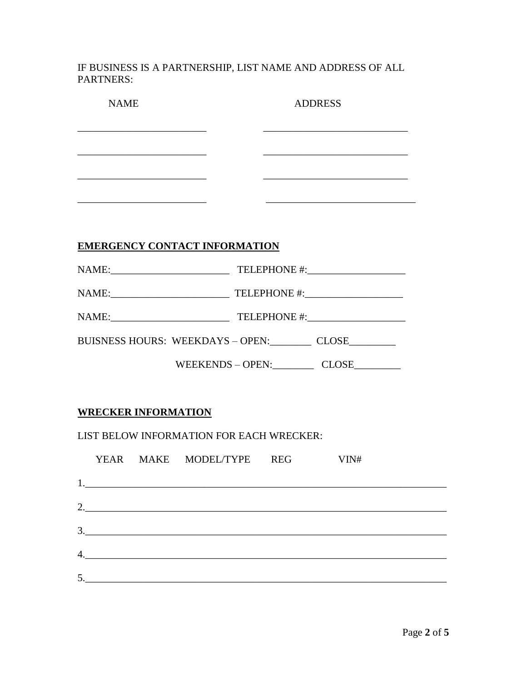IF BUSINESS IS A PARTNERSHIP, LIST NAME AND ADDRESS OF ALL PARTNERS:

| <b>NAME</b>                                                                                                                                                                                                                                                                                                                                                                                                                                             |  | <b>ADDRESS</b> |                                                                                                                       |  |
|---------------------------------------------------------------------------------------------------------------------------------------------------------------------------------------------------------------------------------------------------------------------------------------------------------------------------------------------------------------------------------------------------------------------------------------------------------|--|----------------|-----------------------------------------------------------------------------------------------------------------------|--|
|                                                                                                                                                                                                                                                                                                                                                                                                                                                         |  |                | <u> 1989 - Johann Barn, mars ann an t-Amhain an t-Amhain an t-Amhain an t-Amhain an t-Amhain an t-Amhain an t-Amh</u> |  |
|                                                                                                                                                                                                                                                                                                                                                                                                                                                         |  |                |                                                                                                                       |  |
|                                                                                                                                                                                                                                                                                                                                                                                                                                                         |  |                |                                                                                                                       |  |
| <u> 2008 - Jan James James James James James James James James James James James James James James James James Ja</u>                                                                                                                                                                                                                                                                                                                                   |  |                |                                                                                                                       |  |
| <b>EMERGENCY CONTACT INFORMATION</b>                                                                                                                                                                                                                                                                                                                                                                                                                    |  |                |                                                                                                                       |  |
|                                                                                                                                                                                                                                                                                                                                                                                                                                                         |  |                |                                                                                                                       |  |
|                                                                                                                                                                                                                                                                                                                                                                                                                                                         |  |                |                                                                                                                       |  |
|                                                                                                                                                                                                                                                                                                                                                                                                                                                         |  |                |                                                                                                                       |  |
| BUISNESS HOURS: WEEKDAYS - OPEN: CLOSE                                                                                                                                                                                                                                                                                                                                                                                                                  |  |                |                                                                                                                       |  |
|                                                                                                                                                                                                                                                                                                                                                                                                                                                         |  |                | WEEKENDS - OPEN: CLOSE                                                                                                |  |
| <b>WRECKER INFORMATION</b>                                                                                                                                                                                                                                                                                                                                                                                                                              |  |                |                                                                                                                       |  |
| LIST BELOW INFORMATION FOR EACH WRECKER:                                                                                                                                                                                                                                                                                                                                                                                                                |  |                |                                                                                                                       |  |
| YEAR MAKE MODEL/TYPE REG                                                                                                                                                                                                                                                                                                                                                                                                                                |  |                | VIN#                                                                                                                  |  |
|                                                                                                                                                                                                                                                                                                                                                                                                                                                         |  |                |                                                                                                                       |  |
|                                                                                                                                                                                                                                                                                                                                                                                                                                                         |  |                |                                                                                                                       |  |
| $\begin{array}{c c c c c} \hline \multicolumn{3}{c }{\textbf{3.}} & \multicolumn{3}{c }{\textbf{5.}} \\ \hline \multicolumn{3}{c }{\textbf{6.}} & \multicolumn{3}{c }{\textbf{6.}} \\ \hline \multicolumn{3}{c }{\textbf{7.}} & \multicolumn{3}{c }{\textbf{8.}} \\ \hline \multicolumn{3}{c }{\textbf{9.}} & \multicolumn{3}{c }{\textbf{10.}} \\ \hline \multicolumn{3}{c }{\textbf{11.}} & \multicolumn{3}{c }{\textbf{12.}} \\ \hline \multicolumn$ |  |                |                                                                                                                       |  |
| 4.                                                                                                                                                                                                                                                                                                                                                                                                                                                      |  |                |                                                                                                                       |  |
| 5.                                                                                                                                                                                                                                                                                                                                                                                                                                                      |  |                |                                                                                                                       |  |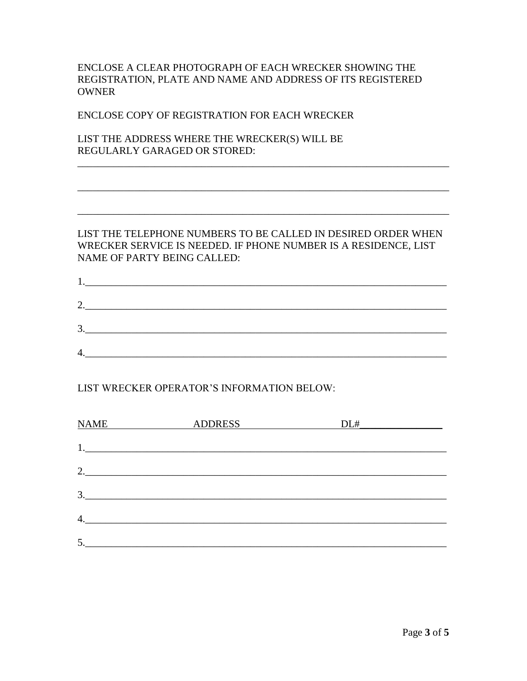ENCLOSE A CLEAR PHOTOGRAPH OF EACH WRECKER SHOWING THE REGISTRATION, PLATE AND NAME AND ADDRESS OF ITS REGISTERED OWNER

ENCLOSE COPY OF REGISTRATION FOR EACH WRECKER

LIST THE ADDRESS WHERE THE WRECKER(S) WILL BE REGULARLY GARAGED OR STORED:

#### LIST THE TELEPHONE NUMBERS TO BE CALLED IN DESIRED ORDER WHEN WRECKER SERVICE IS NEEDED. IF PHONE NUMBER IS A RESIDENCE, LIST NAME OF PARTY BEING CALLED:

\_\_\_\_\_\_\_\_\_\_\_\_\_\_\_\_\_\_\_\_\_\_\_\_\_\_\_\_\_\_\_\_\_\_\_\_\_\_\_\_\_\_\_\_\_\_\_\_\_\_\_\_\_\_\_\_\_\_\_\_\_\_\_\_\_\_\_\_\_\_\_\_

\_\_\_\_\_\_\_\_\_\_\_\_\_\_\_\_\_\_\_\_\_\_\_\_\_\_\_\_\_\_\_\_\_\_\_\_\_\_\_\_\_\_\_\_\_\_\_\_\_\_\_\_\_\_\_\_\_\_\_\_\_\_\_\_\_\_\_\_\_\_\_\_

\_\_\_\_\_\_\_\_\_\_\_\_\_\_\_\_\_\_\_\_\_\_\_\_\_\_\_\_\_\_\_\_\_\_\_\_\_\_\_\_\_\_\_\_\_\_\_\_\_\_\_\_\_\_\_\_\_\_\_\_\_\_\_\_\_\_\_\_\_\_\_\_

|          | <u> 1989 - Jan Stein Stein Stein Stein Stein Stein Stein Stein Stein Stein Stein Stein Stein Stein Stein Stein S</u> |  |  |
|----------|----------------------------------------------------------------------------------------------------------------------|--|--|
|          |                                                                                                                      |  |  |
|          | 3.                                                                                                                   |  |  |
| $\Delta$ |                                                                                                                      |  |  |

## LIST WRECKER OPERATOR'S INFORMATION BELOW:

| <b>NAME</b><br>$\overline{\phantom{a}}$ | <b>ADDRESS</b> | DL#<br>$\overline{\phantom{a}}$ and $\overline{\phantom{a}}$ and $\overline{\phantom{a}}$ |
|-----------------------------------------|----------------|-------------------------------------------------------------------------------------------|
|                                         |                |                                                                                           |
| 2.                                      |                |                                                                                           |
| 3.                                      |                |                                                                                           |
| $\overline{4}$ .                        |                |                                                                                           |
|                                         |                |                                                                                           |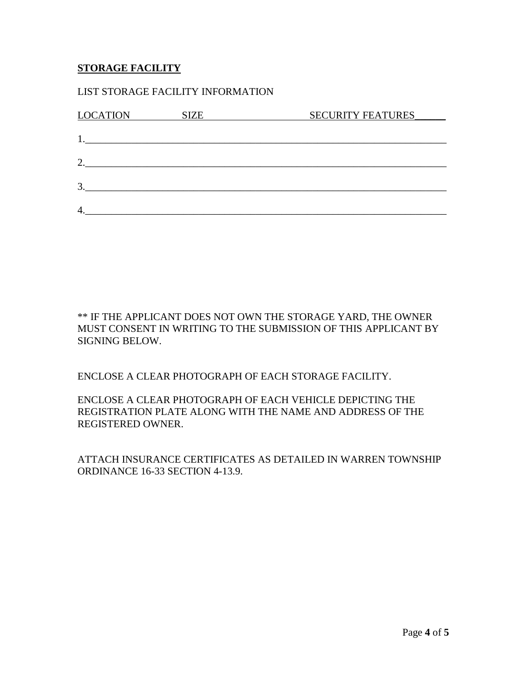### **STORAGE FACILITY**

#### LIST STORAGE FACILITY INFORMATION

| <b>LOCATION</b>             | <b>SIZE</b> | <b>SECURITY FEATURES</b> |
|-----------------------------|-------------|--------------------------|
|                             |             |                          |
|                             |             |                          |
| $\mathcal{D}_{\mathcal{L}}$ |             |                          |
|                             |             |                          |
| 3                           |             |                          |
| 4                           |             |                          |

\*\* IF THE APPLICANT DOES NOT OWN THE STORAGE YARD, THE OWNER MUST CONSENT IN WRITING TO THE SUBMISSION OF THIS APPLICANT BY SIGNING BELOW.

ENCLOSE A CLEAR PHOTOGRAPH OF EACH STORAGE FACILITY.

ENCLOSE A CLEAR PHOTOGRAPH OF EACH VEHICLE DEPICTING THE REGISTRATION PLATE ALONG WITH THE NAME AND ADDRESS OF THE REGISTERED OWNER.

ATTACH INSURANCE CERTIFICATES AS DETAILED IN WARREN TOWNSHIP ORDINANCE 16-33 SECTION 4-13.9.